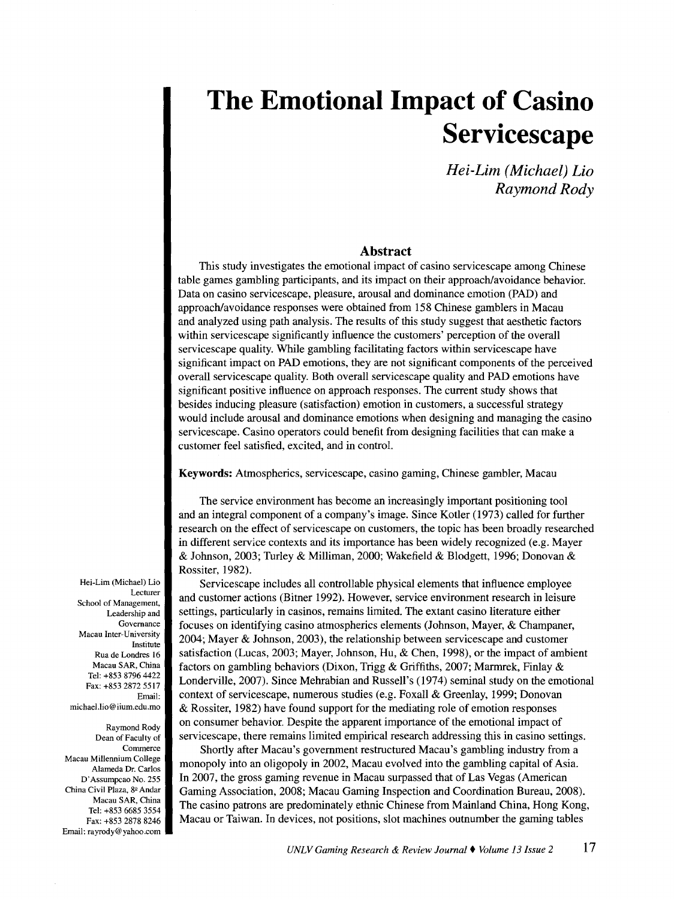*Hei-Lim (Michael) Lio Raymond Rody* 

## **Abstract**

This study investigates the emotional impact of casino servicescape among Chinese table games gambling participants, and its impact on their approach/avoidance behavior. Data on casino servicescape, pleasure, arousal and dominance emotion (PAD) and approach/avoidance responses were obtained from 158 Chinese gamblers in Macau and analyzed using path analysis. The results of this study suggest that aesthetic factors within servicescape significantly influence the customers' perception of the overall servicescape quality. While gambling facilitating factors within servicescape have significant impact on PAD emotions, they are not significant components of the perceived overall servicescape quality. Both overall servicescape quality and PAD emotions have significant positive influence on approach responses. The current study shows that besides inducing pleasure (satisfaction) emotion in customers, a successful strategy would include arousal and dominance emotions when designing and managing the casino servicescape. Casino operators could benefit from designing facilities that can make a customer feel satisfied, excited, and in control.

Keywords: Atmospherics, servicescape, casino gaming, Chinese gambler, Macau

The service environment has become an increasingly important positioning tool and an integral component of a company's image. Since Kotler (1973) called for further research on the effect of servicescape on customers, the topic has been broadly researched in different service contexts and its importance has been widely recognized (e.g. Mayer & Johnson, 2003; Turley & Milliman, 2000; Wakefield & Blodgett, 1996; Donovan & Rossiter, 1982).

Servicescape includes all controllable physical elements that influence employee and customer actions (Bitner 1992). However, service environment research in leisure settings, particularly in casinos, remains limited. The extant casino literature either focuses on identifying casino atmospherics elements (Johnson, Mayer, & Champaner, 2004; Mayer & Johnson, 2003), the relationship between servicescape and customer satisfaction (Lucas, 2003; Mayer, Johnson, Hu, & Chen, 1998), or the impact of ambient factors on gambling behaviors (Dixon, Trigg & Griffiths, 2007; Marmrek, Finlay & Londerville, 2007). Since Mehrabian and Russell's (1974) seminal study on the emotional context of servicescape, numerous studies (e.g. Foxall & Greenlay, 1999; Donovan & Rossiter, 1982) have found support for the mediating role of emotion responses on consumer behavior. Despite the apparent importance of the emotional impact of servicescape, there remains limited empirical research addressing this in casino settings.

Shortly after Macau's government restructured Macau's gambling industry from a monopoly into an oligopoly in 2002, Macau evolved into the gambling capital of Asia. In 2007, the gross gaming revenue in Macau surpassed that of Las Vegas (American Gaming Association, 2008; Macau Gaming Inspection and Coordination Bureau, 2008). The casino patrons are predominately ethnic Chinese from Mainland China, Hong Kong, Macau or Taiwan. In devices, not positions, slot machines outnumber the gaming tables

Hei-Lim (Michael) Lio Lecturer School of Management, Leadership and Governance Macau Inter-University Institute Rua de Londres 16 Macau SAR, China Tel: +853 8796 4422 Fax: +853 2872 5517 Email: michael.lio@iium.edu.mo

Raymond Rody Dean of Faculty of Commerce Macau Millennium College Alameda Dr. Carlos D' Assumpcao No. 255 China Civil Plaza, 8º Andar Macau SAR, China Tel: +853 6685 3554 Fax: +853 2878 8246 Email: rayrody@yahoo.com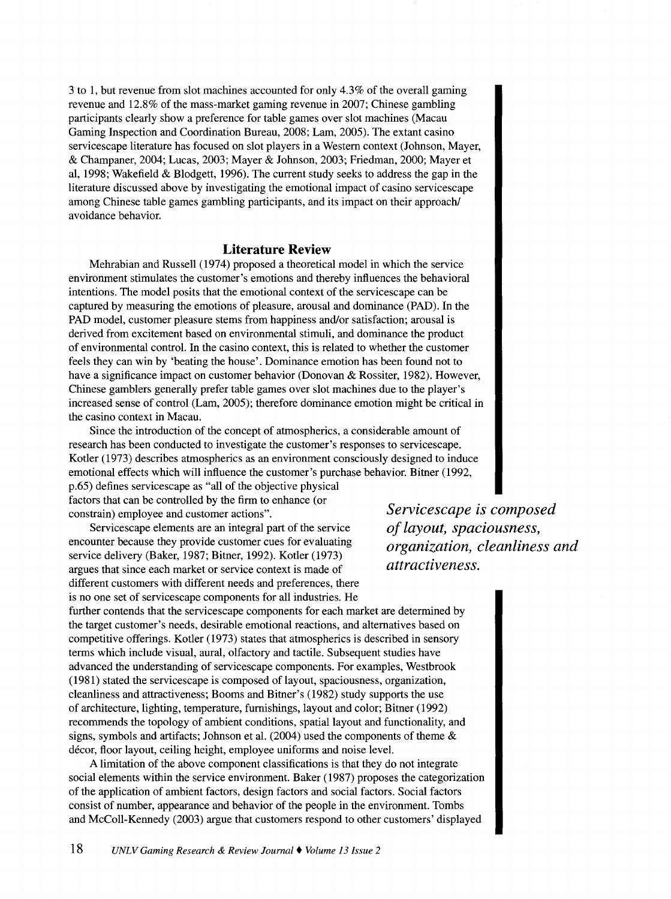3 to 1, but revenue from slot machines accounted for only 4.3% of the overall gaming revenue and 12.8% of the mass-market gaming revenue in 2007; Chinese gambling participants clearly show a preference for table games over slot machines (Macau Gaming Inspection and Coordination Bureau, 2008; Lam, 2005). The extant casino servicescape literature has focused on slot players in a Western context (Johnson, Mayer, & Champaner, 2004; Lucas, 2003; Mayer & Johnson, 2003; Friedman, 2000; Mayer et al, 1998; Wakefield & Blodgett, 1996). The current study seeks to address the gap in the literature discussed above by investigating the emotional impact of casino servicescape among Chinese table games gambling participants, and its impact on their approach/ avoidance behavior.

## **Literature Review**

Mehrabian and Russell (1974) proposed a theoretical model in which the service environment stimulates the customer's emotions and thereby influences the behavioral intentions. The model posits that the emotional context of the servicescape can be captured by measuring the emotions of pleasure, arousal and dominance (PAD). In the PAD model, customer pleasure stems from happiness and/or satisfaction; arousal is derived from excitement based on environmental stimuli, and dominance the product of environmental control. In the casino context, this is related to whether the customer feels they can win by 'beating the house'. Dominance emotion has been found not to have a significance impact on customer behavior (Donovan & Rossiter, 1982). However, Chinese gamblers generally prefer table games over slot machines due to the player's increased sense of control (Lam, 2005); therefore dominance emotion might be critical in the casino context in Macau.

Since the introduction of the concept of atmospherics, a considerable amount of research has been conducted to investigate the customer's responses to servicescape. Kotler (1973) describes atmospherics as an environment consciously designed to induce emotional effects which will influence the customer's purchase behavior. Bitner (1992, p.65) defines servicescape as "all of the objective physical factors that can be controlled by the firm to enhance (or constrain) employee and customer actions".

Servicescape elements are an integral part of the service encounter because they provide customer cues for evaluating service delivery (Baker, 1987; Bitner, 1992). Kotler (1973) argues that since each market or service context is made of different customers with different needs and preferences, there is no one set of servicescape components for all industries. He

further contends that the servicescape components for each market are determined by the target customer's needs, desirable emotional reactions, and alternatives based on competitive offerings. Kotler (1973) states that atmospherics is described in sensory terms which include visual, aural, olfactory and tactile. Subsequent studies have advanced the understanding of servicescape components. For examples, Westbrook (1981) stated the servicescape is composed of layout, spaciousness, organization, cleanliness and attractiveness; Booms and Bitner's (1982) study supports the use of architecture, lighting, temperature, furnishings, layout and color; Bitner (1992) recommends the topology of ambient conditions, spatial layout and functionality, and signs, symbols and artifacts; Johnson et al. (2004) used the components of theme & décor, floor layout, ceiling height, employee uniforms and noise level.

A limitation of the above component classifications is that they do not integrate social elements within the service environment. Baker (1987) proposes the categorization of the application of ambient factors, design factors and social factors. Social factors consist of number, appearance and behavior of the people in the environment. Tombs and McColl-Kennedy (2003) argue that customers respond to other customers' displayed

*Servicescape is composed of layout, spaciousness, organization, cleanliness and attractiveness.*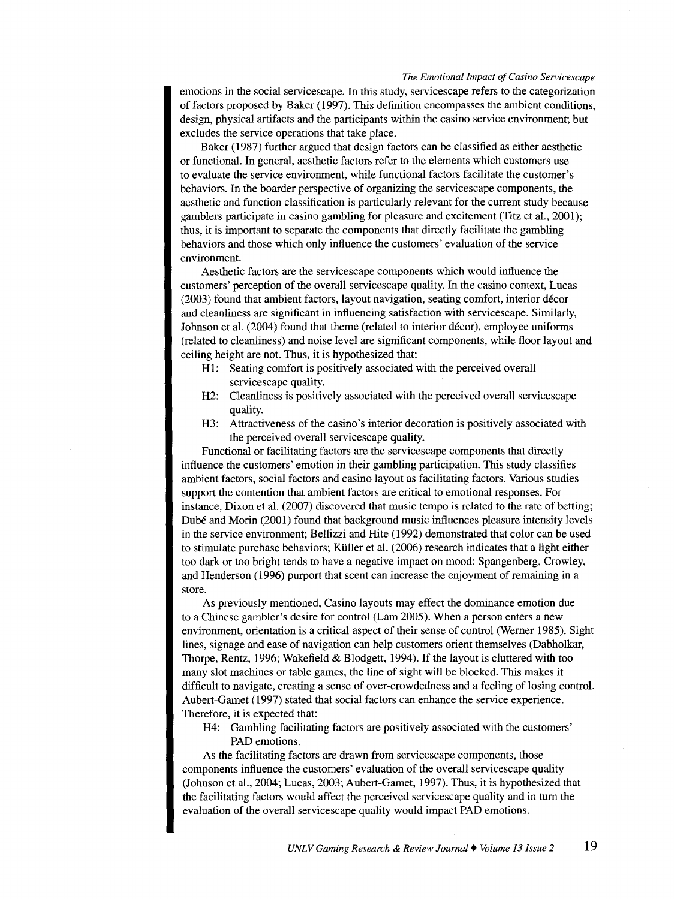emotions in the social servicescape. In this study, servicescape refers to the categorization of factors proposed by Baker (1997). This definition encompasses the ambient conditions, design, physical artifacts and the participants within the casino service environment; but excludes the service operations that take place.

Baker (1987) further argued that design factors can be classified as either aesthetic or functional. In general, aesthetic factors refer to the elements which customers use to evaluate the service environment, while functional factors facilitate the customer's behaviors. In the boarder perspective of organizing the servicescape components, the aesthetic and function classification is particularly relevant for the current study because gamblers participate in casino gambling for pleasure and excitement (Titz et al., 2001); thus, it is important to separate the components that directly facilitate the gambling behaviors and those which only influence the customers' evaluation of the service environment.

Aesthetic factors are the servicescape components which would influence the customers' perception of the overall servicescape quality. In the casino context, Lucas (2003) found that ambient factors, layout navigation, seating comfort, interior décor and cleanliness are significant in influencing satisfaction with servicescape. Similarly, Johnson et al. (2004) found that theme (related to interior décor), employee uniforms (related to cleanliness) and noise level are significant components, while floor layout and ceiling height are not. Thus, it is hypothesized that:

- HI: Seating comfort is positively associated with the perceived overall servicescape quality.
- H2: Cleanliness is positively associated with the perceived overall servicescape quality.
- H3: Attractiveness of the casino's interior decoration is positively associated with the perceived overall servicescape quality.

Functional or facilitating factors are the servicescape components that directly influence the customers' emotion in their gambling participation. This study classifies ambient factors, social factors and casino layout as facilitating factors. Various studies support the contention that ambient factors are critical to emotional responses. For instance, Dixon et al. (2007) discovered that music tempo is related to the rate of betting; Dube and Morin (2001) found that background music influences pleasure intensity levels in the service environment; Bellizzi and Hite (1992) demonstrated that color can be used to stimulate purchase behaviors; Kliller et al. (2006) research indicates that a light either too dark or too bright tends to have a negative impact on mood; Spangenberg, Crowley, and Henderson (1996) purport that scent can increase the enjoyment of remaining in a store.

As previously mentioned, Casino layouts may effect the dominance emotion due to a Chinese gambler's desire for control (Lam 2005). When a person enters a new environment, orientation is a critical aspect of their sense of control (Werner 1985). Sight lines, signage and ease of navigation can help customers orient themselves (Dabholkar, Thorpe, Rentz, 1996; Wakefield & Blodgett, 1994). If the layout is cluttered with too many slot machines or table games, the line of sight will be blocked. This makes it difficult to navigate, creating a sense of over-crowdedness and a feeling of losing control. Aubert-Gamet (1997) stated that social factors can enhance the service experience. Therefore, it is expected that:

H4: Gambling facilitating factors are positively associated with the customers' PAD emotions.

As the facilitating factors are drawn from servicescape components, those components influence the customers' evaluation of the overall servicescape quality (Johnson et al., 2004; Lucas, 2003; Aubert-Gamet, 1997). Thus, it is hypothesized that the facilitating factors would affect the perceived servicescape quality and in tum the evaluation of the overall servicescape quality would impact PAD emotions.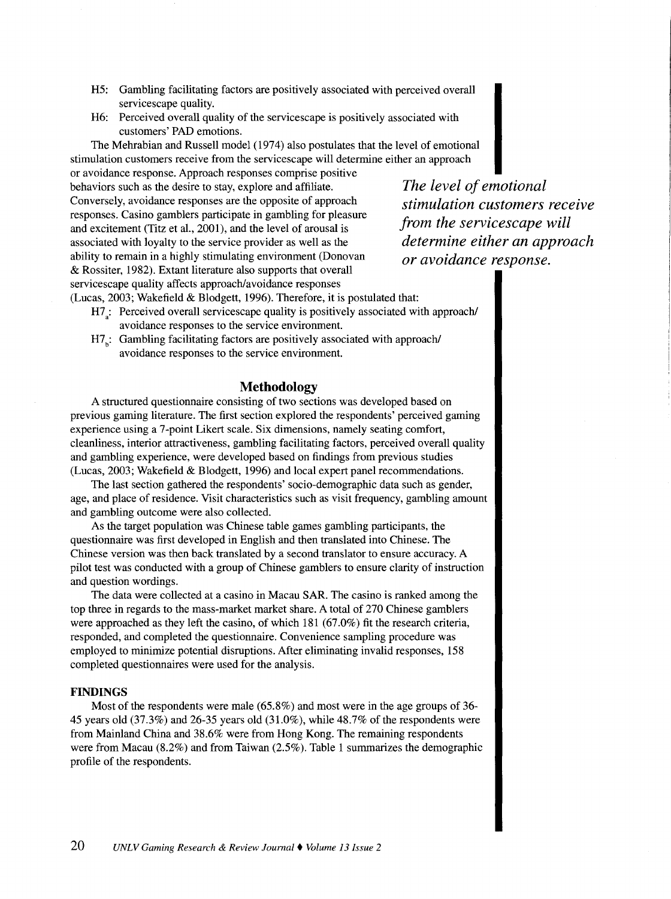- H5: Gambling facilitating factors are positively associated with perceived overall servicescape quality.
- H6: Perceived overall quality of the servicescape is positively associated with customers' PAD emotions.

The Mehrabian and Russell model (1974) also postulates that the level of emotional stimulation customers receive from the servicescape will determine either an approach

or avoidance response. Approach responses comprise positive behaviors such as the desire to stay, explore and affiliate. Conversely, avoidance responses are the opposite of approach responses. Casino gamblers participate in gambling for pleasure and excitement (Titz et al., 2001), and the level of arousal is associated with loyalty to the service provider as well as the ability to remain in a highly stimulating environment (Donovan & Rossiter, 1982). Extant literature also supports that overall servicescape quality affects approach/avoidance responses (Lucas, 2003; Wakefield & Blodgett, 1996). Therefore, it is postulated that:

*The level of emotional stimulation customers receive from the servicescape will determine either an approach or avoidance response.* 

- H7 : Perceived overall servicescape quality is positively associated with approach/ avoidance responses to the service environment.
- H7: Gambling facilitating factors are positively associated with approach/ avoidance responses to the service environment.

## **Methodology**

A structured questionnaire consisting of two sections was developed based on previous gaming literature. The first section explored the respondents' perceived gaming experience using a 7 -point Likert scale. Six dimensions, namely seating comfort, cleanliness, interior attractiveness, gambling facilitating factors, perceived overall quality and gambling experience, were developed based on findings from previous studies (Lucas, 2003; Wakefield & Blodgett, 1996) and local expert panel recommendations.

The last section gathered the respondents' socio-demographic data such as gender, age, and place of residence. Visit characteristics such as visit frequency, gambling amount and gambling outcome were also collected.

As the target population was Chinese table games gambling participants, the questionnaire was first developed in English and then translated into Chinese. The Chinese version was then back translated by a second translator to ensure accuracy. A pilot test was conducted with a group of Chinese gamblers to ensure clarity of instruction and question wordings.

The data were collected at a casino in Macau SAR. The casino is ranked among the top three in regards to the mass-market market share. A total of 270 Chinese gamblers were approached as they left the casino, of which 181 (67.0%) fit the research criteria, responded, and completed the questionnaire. Convenience sampling procedure was employed to minimize potential disruptions. After eliminating invalid responses, 158 completed questionnaires were used for the analysis.

#### **FINDINGS**

Most of the respondents were male (65.8%) and most were in the age groups of 36- 45 years old (37.3%) and 26-35 years old (31.0%), while 48.7% of the respondents were from Mainland China and 38.6% were from Hong Kong. The remaining respondents were from Macau (8.2%) and from Taiwan (2.5% ). Table 1 summarizes the demographic profile of the respondents.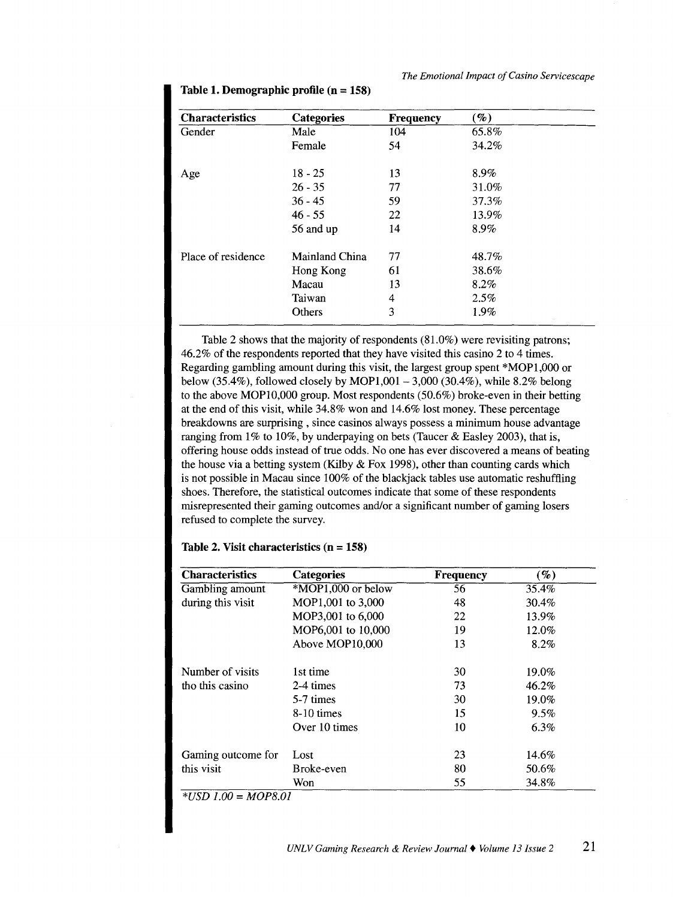| <b>Characteristics</b> | <b>Categories</b> | <b>Frequency</b> | $\mathscr{C}_0$ |
|------------------------|-------------------|------------------|-----------------|
| Gender                 | Male              | 104              | 65.8%           |
|                        | Female            | 54               | 34.2%           |
| Age                    | $18 - 25$         | 13               | 8.9%            |
|                        | $26 - 35$         | 77               | 31.0%           |
|                        | $36 - 45$         | 59               | 37.3%           |
|                        | $46 - 55$         | 22               | 13.9%           |
|                        | 56 and up         | 14               | 8.9%            |
| Place of residence     | Mainland China    | 77               | 48.7%           |
|                        | Hong Kong         | 61               | 38.6%           |
|                        | Macau             | 13               | 8.2%            |
|                        | Taiwan            | 4                | 2.5%            |
|                        | Others            | 3                | 1.9%            |

Table 1. Demographic profile  $(n = 158)$ 

Table 2 shows that the majority of respondents (81.0%) were revisiting patrons; 46.2% of the respondents reported that they have visited this casino 2 to 4 times. Regarding gambling amount during this visit, the largest group spent \*MOPl,OOO or below (35.4%), followed closely by MOP1,001 – 3,000 (30.4%), while 8.2% belong to the above MOP10,000 group. Most respondents (50.6%) broke-even in their betting at the end of this visit, while 34.8% won and 14.6% lost money. These percentage breakdowns are surprising , since casinos always possess a minimum house advantage ranging from 1% to 10%, by underpaying on bets (Taucer & Easley 2003), that is, offering house odds instead of true odds. No one has ever discovered a means of beating the house via a betting system (Kilby  $&$  Fox 1998), other than counting cards which is not possible in Macau since 100% of the blackjack tables use automatic reshuffling shoes. Therefore, the statistical outcomes indicate that some of these respondents misrepresented their gaming outcomes and/or a significant number of gaming losers refused to complete the survey.

| <b>Characteristics</b> | <b>Categories</b>               | <b>Frequency</b> | $(\%)$  |
|------------------------|---------------------------------|------------------|---------|
| Gambling amount        | $*\overline{MOP1,000}$ or below | 56               | 35.4%   |
| during this visit      | MOP1,001 to 3,000               | 48               | 30.4%   |
|                        | MOP3,001 to 6,000               | 22               | 13.9%   |
|                        | MOP6,001 to 10,000              | 19               | 12.0%   |
|                        | Above MOP10,000                 | 13               | 8.2%    |
| Number of visits       | 1st time                        | 30               | 19.0%   |
| tho this casino        | 2-4 times                       | 73               | 46.2%   |
|                        | 5-7 times                       | 30               | 19.0%   |
|                        | $8-10$ times                    | 15               | 9.5%    |
|                        | Over 10 times                   | 10               | $6.3\%$ |
| Gaming outcome for     | Lost                            | 23               | 14.6%   |
| this visit             | Broke-even                      | 80               | 50.6%   |
|                        | Won                             | 55               | 34.8%   |

#### **Table 2. Visit characteristics (n = 158)**

*\*USD 1.00* = *MOP8.01*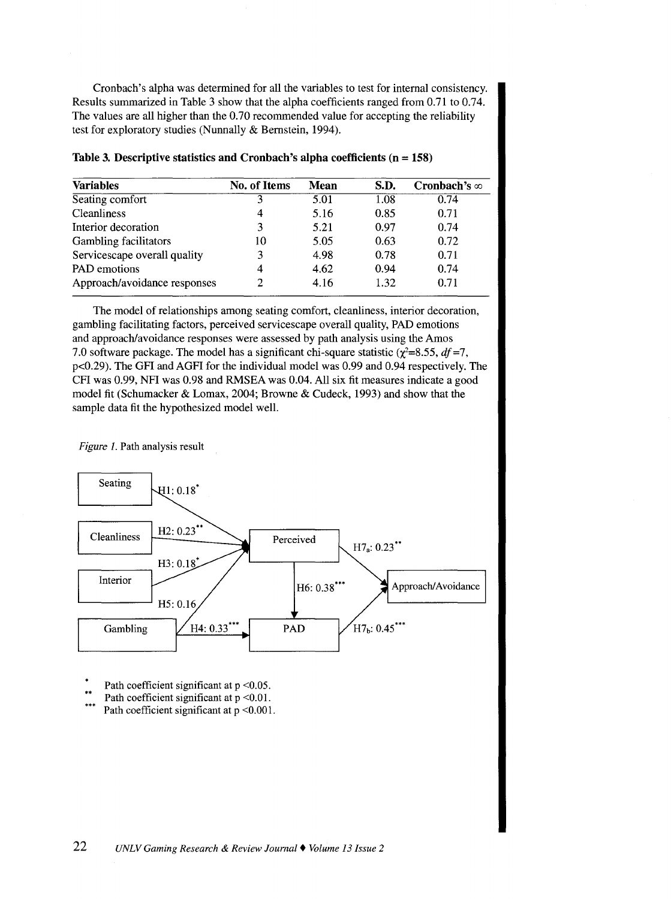Cronbach's alpha was determined for all the variables to test for internal consistency. Results summarized in Table 3 show that the alpha coefficients ranged from 0.71 to 0.74. The values are all higher than the 0.70 recommended value for accepting the reliability test for exploratory studies (Nunnally & Bernstein, 1994).

| <b>Variables</b>             | No. of Items | <b>Mean</b> | S.D. | Cronbach's $\infty$ |
|------------------------------|--------------|-------------|------|---------------------|
| Seating comfort              |              | 5.01        | 1.08 | 0.74                |
| <b>Cleanliness</b>           | 4            | 5.16        | 0.85 | 0.71                |
| Interior decoration          | 3            | 5.21        | 0.97 | 0.74                |
| <b>Gambling facilitators</b> | 10           | 5.05        | 0.63 | 0.72                |
| Servicescape overall quality | 3            | 4.98        | 0.78 | 0.71                |
| PAD emotions                 | 4            | 4.62        | 0.94 | 0.74                |
| Approach/avoidance responses | 2            | 4.16        | 1.32 | 0.71                |
|                              |              |             |      |                     |

| Table 3. Descriptive statistics and Cronbach's alpha coefficients $(n = 158)$ |  |  |
|-------------------------------------------------------------------------------|--|--|
|-------------------------------------------------------------------------------|--|--|

The model of relationships among seating comfort, cleanliness, interior decoration, gambling facilitating factors, perceived servicescape overall quality, PAD emotions and approach/avoidance responses were assessed by path analysis using the Amos 7.0 software package. The model has a significant chi-square statistic  $(\chi^2=8.55, df=7,$ p<0.29). The GFI and AGFI for the individual model was 0.99 and 0.94 respectively. The CFI was 0.99, NFI was 0.98 and RMSEA was 0.04. All six fit measures indicate a good model fit (Schumacker & Lomax, 2004; Browne & Cudeck, 1993) and show that the sample data fit the hypothesized model well.

*Figure 1.* Path analysis result



Path coefficient significant at  $p < 0.05$ .

Path coefficient significant at  $p \le 0.01$ .

\*\*\* Path coefficient significant at  $p < 0.001$ .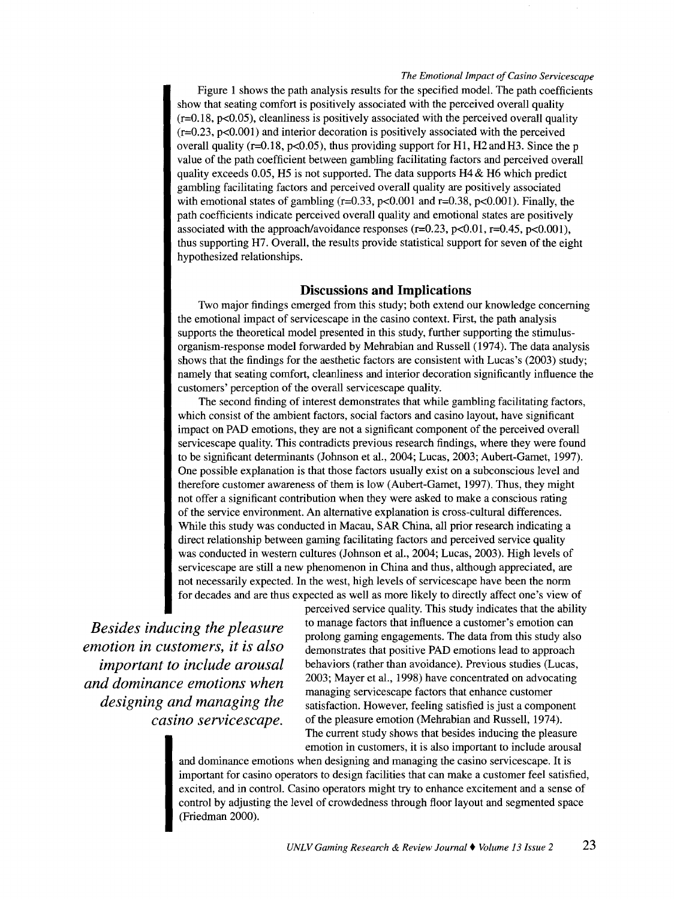Figure 1 shows the path analysis results for the specified model. The path coefficients show that seating comfort is positively associated with the perceived overall quality  $(r=0.18, p<0.05)$ , cleanliness is positively associated with the perceived overall quality  $(r=0.23, p<0.001)$  and interior decoration is positively associated with the perceived overall quality ( $r=0.18$ ,  $p<0.05$ ), thus providing support for H1, H2 and H3. Since the p value of the path coefficient between gambling facilitating factors and perceived overall quality exceeds 0.05, H5 is not supported. The data supports  $H4 \& H6$  which predict gambling facilitating factors and perceived overall quality are positively associated with emotional states of gambling  $(r=0.33, p<0.001$  and  $r=0.38, p<0.001$ ). Finally, the path coefficients indicate perceived overall quality and emotional states are positively associated with the approach/avoidance responses ( $r=0.23$ ,  $p<0.01$ ,  $r=0.45$ ,  $p<0.001$ ), thus supporting H7. Overall, the results provide statistical support for seven of the eight hypothesized relationships.

### **Discussions and Implications**

Two major findings emerged from this study; both extend our knowledge concerning the emotional impact of servicescape in the casino context. First, the path analysis supports the theoretical model presented in this study, further supporting the stimulusorganism-response model forwarded by Mehrabian and Russell (1974). The data analysis shows that the findings for the aesthetic factors are consistent with Lucas's (2003) study; namely that seating comfort, cleanliness and interior decoration significantly influence the customers' perception of the overall servicescape quality.

The second finding of interest demonstrates that while gambling facilitating factors, which consist of the ambient factors, social factors and casino layout, have significant impact on PAD emotions, they are not a significant component of the perceived overall servicescape quality. This contradicts previous research findings, where they were found to be significant determinants (Johnson et al., 2004; Lucas, 2003; Aubert-Gamet, 1997). One possible explanation is that those factors usually exist on a subconscious level and therefore customer awareness of them is low (Aubert-Gamet, 1997). Thus, they might not offer a significant contribution when they were asked to make a conscious rating of the service environment. An alternative explanation is cross-cultural differences. While this study was conducted in Macau, SAR China, all prior research indicating a direct relationship between gaming facilitating factors and perceived service quality was conducted in western cultures (Johnson et al., 2004; Lucas, 2003). High levels of servicescape are still a new phenomenon in China and thus, although appreciated, are not necessarily expected. In the west, high levels of servicescape have been the norm for decades and are thus expected as well as more likely to directly affect one's view of

*Besides inducing the pleasure emotion in customers, it is also important to include arousal and dominance emotions when designing and managing the*<br>*casino servicescape.*  perceived service quality. This study indicates that the ability to manage factors that influence a customer's emotion can prolong gaming engagements. The data from this study also demonstrates that positive PAD emotions lead to approach behaviors (rather than avoidance). Previous studies (Lucas, 2003; Mayer et al., 1998) have concentrated on advocating managing servicescape factors that enhance customer satisfaction. However, feeling satisfied is just a component of the pleasure emotion (Mehrabian and Russell, 1974). The current study shows that besides inducing the pleasure emotion in customers, it is also important to include arousal

and dominance emotions when designing and managing the casino servicescape. It is important for casino operators to design facilities that can make a customer feel satisfied, excited, and in control. Casino operators might try to enhance excitement and a sense of control by adjusting the level of crowdedness through floor layout and segmented space (Friedman 2000).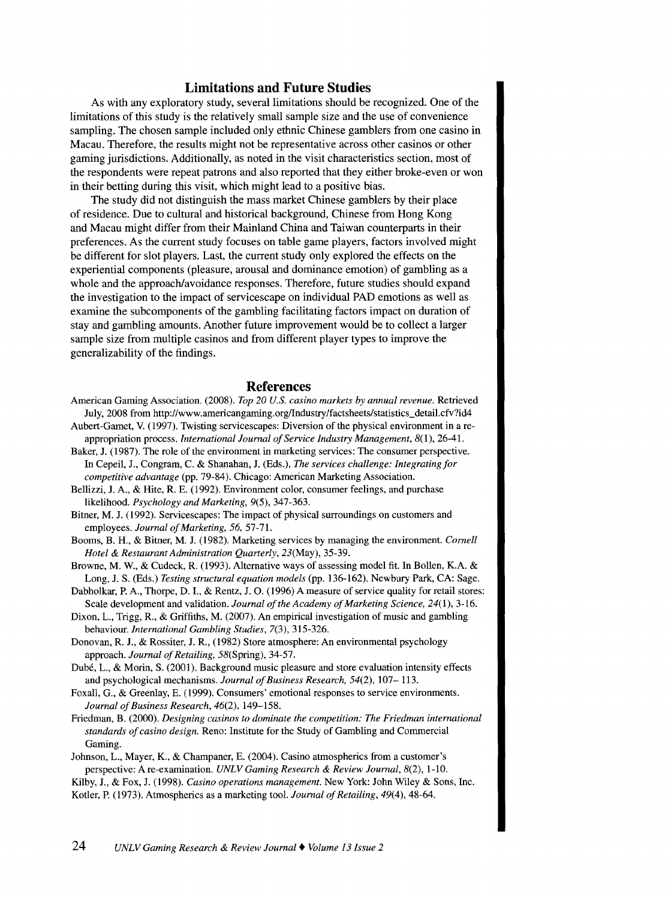## **Limitations and Future Studies**

As with any exploratory study, several limitations should be recognized. One of the limitations of this study is the relatively small sample size and the use of convenience sampling. The chosen sample included only ethnic Chinese gamblers from one casino in Macau. Therefore, the results might not be representative across other casinos or other gaming jurisdictions. Additionally, as noted in the visit characteristics section, most of the respondents were repeat patrons and also reported that they either broke-even or won in their betting during this visit, which might lead to a positive bias.

The study did not distinguish the mass market Chinese gamblers by their place of residence. Due to cultural and historical background, Chinese from Hong Kong and Macau might differ from their Mainland China and Taiwan counterparts in their preferences. As the current study focuses on table game players, factors involved might be different for slot players. Last, the current study only explored the effects on the experiential components (pleasure, arousal and dominance emotion) of gambling as a whole and the approach/avoidance responses. Therefore, future studies should expand the investigation to the impact of servicescape on individual PAD emotions as well as examine the subcomponents of the gambling facilitating factors impact on duration of stay and gambling amounts. Another future improvement would be to collect a larger sample size from multiple casinos and from different player types to improve the generalizability of the findings.

#### **References**

- American Gaming Association. (2008). *Top 20 U.S. casino markets by annual revenue.* Retrieved July, 2008 from http://www.americangaming.org/Industry/factsheets/statistics\_detail.cfv?id4
- Aubert-Gamet, V. (1997). Twisting servicescapes: Diversion of the physical environment in areappropriation process. *International Journal of Service Industry Management*, 8(1), 26-41.
- Baker, J. (1987). The role of the environment in marketing services: The consumer perspective. In Cepeil, J., Congram, C. & Shanahan, J. (Eds.), *The services challenge: Integrating for competitive advantage* (pp. 79-84). Chicago: American Marketing Association.
- Bellizzi, J. A., & Hite, R. E. (1992). Environment color, consumer feelings, and purchase likelihood. *Psychology and Marketing,* 9(5), 347-363.
- Bitner, M. J. (1992). Servicescapes: The impact of physical surroundings on customers and employees. *Journal of Marketing, 56,* 57-71.
- Booms, B. H., & Bitner, M. J. (1982). Marketing services by managing the environment. *Cornell Hotel* & *Restaurant Administration Quarterly,* 23(May), 35-39.
- Browne, M. W., & Cudeck, R. (1993). Alternative ways of assessing model fit. In Bollen, K.A. & Long, J. S. (Eds.) *Testing structural equation models* (pp. 136-162). Newbury Park, CA: Sage.
- Dabholkar, P. A., Thorpe, D. I., & Rentz, J. 0. (1996) A measure of service quality for retail stores: Scale development and validation. *Journal of the Academy of Marketing Science,* 24(1), 3-16.
- Dixon, L., Trigg, R., & Griffiths, M. (2007). An empirical investigation of music and gambling behaviour. *International Gambling Studies,* 7(3), 315-326.
- Donovan, R. J., & Rossiter, J. R., (1982) Store atmosphere: An environmental psychology approach. *Journal of Retailing,* 58(Spring), 34-57.
- Dubé, L., & Morin, S. (2001). Background music pleasure and store evaluation intensity effects and psychological mechanisms. *Journal of Business Research,* 54(2), 107- 113.
- Foxall, G., & Greenlay, E. (1999). Consumers' emotional responses to service environments. *Journal of Business Research,* 46(2), 149-158.
- Friedman, B. (2000). *Designing casinos to dominate the competition: The Friedman international standards of casino design.* Reno: Institute for the Study of Gambling and Commercial Gaming.
- Johnson, L., Mayer, K., & Champaner, E. (2004). Casino atmospherics from a customer's perspective: Are-examination. *UNLV Gaming Research* & *Review Journal,* 8(2), 1-10.
- Kilby, J., & Fox, J. (1998). *Casino operations management.* New York: John Wiley & Sons, Inc. Kotler, P. (1973). Atmospherics as a marketing tool. *Journal of Retailing,* 49(4), 48-64.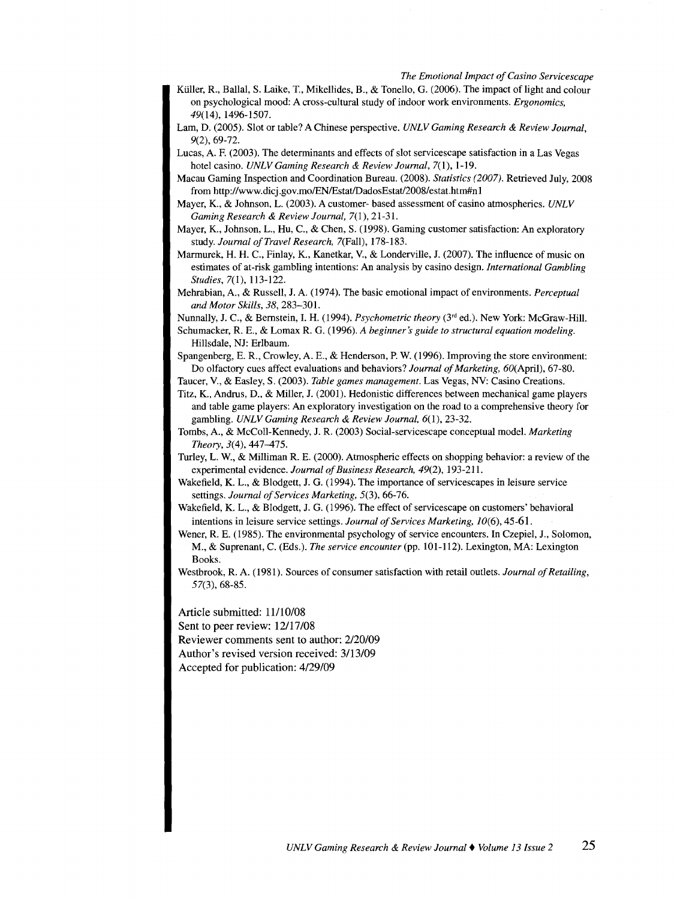- Kiiller, R., Ballal, S. Laike, T., Mikellides, B., & Tonello, G. (2006). The impact of light and colour on psychological mood: A cross-cultural study of indoor work environments. *Ergonomics,*  49(14), 1496-1507.
- Lam, D. (2005). Slot or table? A Chinese perspective. *UNLV Gaming Research* & *Review Journal,*  9(2), 69-72.
- Lucas, A. F. (2003). The determinants and effects of slot servicescape satisfaction in a Las Vegas hotel casino. *UNLV Gaming Research* & *Review Journal,* 7(1), 1-19.
- Macau Gaming Inspection and Coordination Bureau. (2008). *Statistics (2007).* Retrieved July, 2008 from http://www.dicj.gov.mo/EN/Estat/DadosEstat/2008/estat.htm#n1
- Mayer, K., & Johnson, L. (2003). A customer- based assessment of casino atmospherics. *UNLV Gaming Research* & *Review Journal,* 7(1 ), 21-31.
- Mayer, K., Johnson, L., Hu, C., & Chen, S. (1998). Gaming customer satisfaction: An exploratory study. *Journal of Travel Research,* 7(Fall), 178-183.
- Marmurek, H. H. C., Finlay, K., Kanetkar, V., & Londerville, J. (2007). The influence of music on estimates of at-risk gambling intentions: An analysis by casino design. *International Gambling Studies,* 7(1), 113-122.
- Mehrabian, A., & Russell, J. A. (1974). The basic emotional impact of environments. *Perceptual and Motor Skills, 38,* 283-301.

Nunnally, J. C., & Bernstein, I. H. (1994). *Psychometric theory* (3<sup>rd</sup> ed.). New York: McGraw-Hill.

- Schumacker, R. E., & Lomax R. G. (1996). *A beginner's guide to structural equation modeling.*  Hillsdale, NJ: Erlbaum.
- Spangenberg, E. R., Crowley, A. E., & Henderson, P. W. (1996). Improving the store environment: Do olfactory cues affect evaluations and behaviors? *Journal of Marketing,* 60(April), 67-80.
- Taucer, V., & Easley, S. (2003). *Table games management.* Las Vegas, NV: Casino Creations.
- Titz, K., Andrus, D., & Miller, J. (2001). Hedonistic differences between mechanical game players and table game players: An exploratory investigation on the road to a comprehensive theory for gambling. *UNLV Gaming Research* & *Review Journal,* 6(1), 23-32.
- Tombs, A., & McColl-Kennedy, J. R. (2003) Social-servicescape conceptual model. *Marketing Theory,* 3(4), 447-475.
- Turley, L. W., & Milliman R. E. (2000). Atmospheric effects on shopping behavior: a review of the experimental evidence. *Journal of Business Research,* 49(2), 193-211.
- Wakefield, K. L., & Blodgett, J. G. (1994). The importance of servicescapes in leisure service settings. *Journal of Services Marketing,* 5(3), 66-76.
- Wakefield, K. L., & Blodgett, J. G. (1996). The effect of servicescape on customers' behavioral intentions in leisure service settings. *Journal of Services Marketing,* 10(6), 45-61.
- Wener, R. E. (1985). The environmental psychology of service encounters. In Czepiel, J., Solomon, M., & Suprenant, C. (Eds.). *The service encounter* (pp. 101-112). Lexington, MA: Lexington Books.
- Westbrook, R. A. (1981). Sources of consumer satisfaction with retail outlets. *Journal of Retailing,*  57(3), 68-85.

Article submitted: 11/10/08 Sent to peer review: 12/17/08 Reviewer comments sent to author: 2/20/09 Author's revised version received: 3/13/09 Accepted for publication: 4/29/09